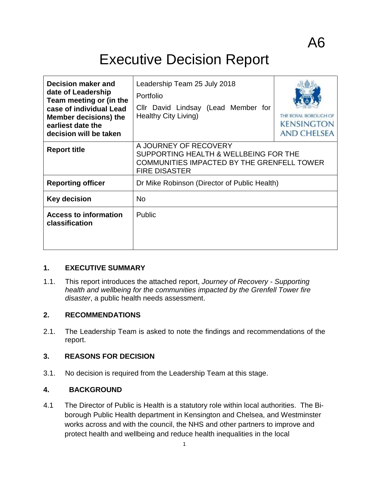# Executive Decision Report

| Decision maker and<br>date of Leadership<br>Team meeting or (in the<br>case of individual Lead<br><b>Member decisions) the</b><br>earliest date the<br>decision will be taken | Leadership Team 25 July 2018<br>Portfolio<br>Cllr David Lindsay (Lead Member for<br><b>Healthy City Living)</b>                      | THE ROYAL BOROUGH OF<br><b>KENSINGTON</b><br><b>AND CHELSEA</b> |
|-------------------------------------------------------------------------------------------------------------------------------------------------------------------------------|--------------------------------------------------------------------------------------------------------------------------------------|-----------------------------------------------------------------|
| <b>Report title</b>                                                                                                                                                           | A JOURNEY OF RECOVERY<br>SUPPORTING HEALTH & WELLBEING FOR THE<br>COMMUNITIES IMPACTED BY THE GRENFELL TOWER<br><b>FIRE DISASTER</b> |                                                                 |
| <b>Reporting officer</b>                                                                                                                                                      | Dr Mike Robinson (Director of Public Health)                                                                                         |                                                                 |
| <b>Key decision</b>                                                                                                                                                           | <b>No</b>                                                                                                                            |                                                                 |
| <b>Access to information</b><br>classification                                                                                                                                | <b>Public</b>                                                                                                                        |                                                                 |

# **1. EXECUTIVE SUMMARY**

1.1. This report introduces the attached report, *Journey of Recovery - Supporting health and wellbeing for the communities impacted by the Grenfell Tower fire disaster*, a public health needs assessment.

#### **2. RECOMMENDATIONS**

2.1. The Leadership Team is asked to note the findings and recommendations of the report.

# **3. REASONS FOR DECISION**

3.1. No decision is required from the Leadership Team at this stage.

#### **4. BACKGROUND**

4.1 The Director of Public is Health is a statutory role within local authorities. The Biborough Public Health department in Kensington and Chelsea, and Westminster works across and with the council, the NHS and other partners to improve and protect health and wellbeing and reduce health inequalities in the local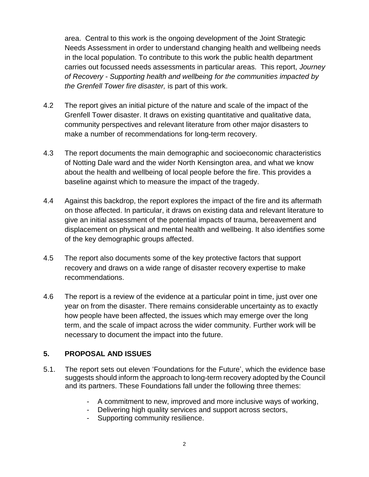area. Central to this work is the ongoing development of the Joint Strategic Needs Assessment in order to understand changing health and wellbeing needs in the local population. To contribute to this work the public health department carries out focussed needs assessments in particular areas. This report, *Journey of Recovery - Supporting health and wellbeing for the communities impacted by the Grenfell Tower fire disaster,* is part of this work.

- 4.2 The report gives an initial picture of the nature and scale of the impact of the Grenfell Tower disaster. It draws on existing quantitative and qualitative data, community perspectives and relevant literature from other major disasters to make a number of recommendations for long-term recovery.
- 4.3 The report documents the main demographic and socioeconomic characteristics of Notting Dale ward and the wider North Kensington area, and what we know about the health and wellbeing of local people before the fire. This provides a baseline against which to measure the impact of the tragedy.
- 4.4 Against this backdrop, the report explores the impact of the fire and its aftermath on those affected. In particular, it draws on existing data and relevant literature to give an initial assessment of the potential impacts of trauma, bereavement and displacement on physical and mental health and wellbeing. It also identifies some of the key demographic groups affected.
- 4.5 The report also documents some of the key protective factors that support recovery and draws on a wide range of disaster recovery expertise to make recommendations.
- 4.6 The report is a review of the evidence at a particular point in time, just over one year on from the disaster. There remains considerable uncertainty as to exactly how people have been affected, the issues which may emerge over the long term, and the scale of impact across the wider community. Further work will be necessary to document the impact into the future.

# **5. PROPOSAL AND ISSUES**

- 5.1. The report sets out eleven 'Foundations for the Future', which the evidence base suggests should inform the approach to long-term recovery adopted by the Council and its partners. These Foundations fall under the following three themes:
	- A commitment to new, improved and more inclusive ways of working,
	- Delivering high quality services and support across sectors,
	- Supporting community resilience.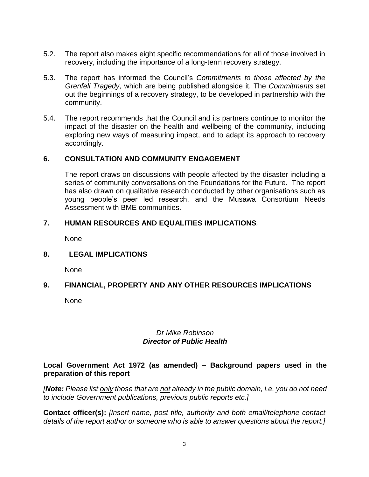- 5.2. The report also makes eight specific recommendations for all of those involved in recovery, including the importance of a long-term recovery strategy.
- 5.3. The report has informed the Council's *Commitments to those affected by the Grenfell Tragedy*, which are being published alongside it. The *Commitments* set out the beginnings of a recovery strategy, to be developed in partnership with the community.
- 5.4. The report recommends that the Council and its partners continue to monitor the impact of the disaster on the health and wellbeing of the community, including exploring new ways of measuring impact, and to adapt its approach to recovery accordingly.

#### **6. CONSULTATION AND COMMUNITY ENGAGEMENT**

The report draws on discussions with people affected by the disaster including a series of community conversations on the Foundations for the Future. The report has also drawn on qualitative research conducted by other organisations such as young people's peer led research, and the Musawa Consortium Needs Assessment with BME communities.

## **7. HUMAN RESOURCES AND EQUALITIES IMPLICATIONS***.*

None

#### **8. LEGAL IMPLICATIONS**

None

# **9. FINANCIAL, PROPERTY AND ANY OTHER RESOURCES IMPLICATIONS**

None

## *Dr Mike Robinson Director of Public Health*

## **Local Government Act 1972 (as amended) – Background papers used in the preparation of this report**

*[Note: Please list only those that are not already in the public domain, i.e. you do not need to include Government publications, previous public reports etc.]*

**Contact officer(s):** *[Insert name, post title, authority and both email/telephone contact details of the report author or someone who is able to answer questions about the report.]*